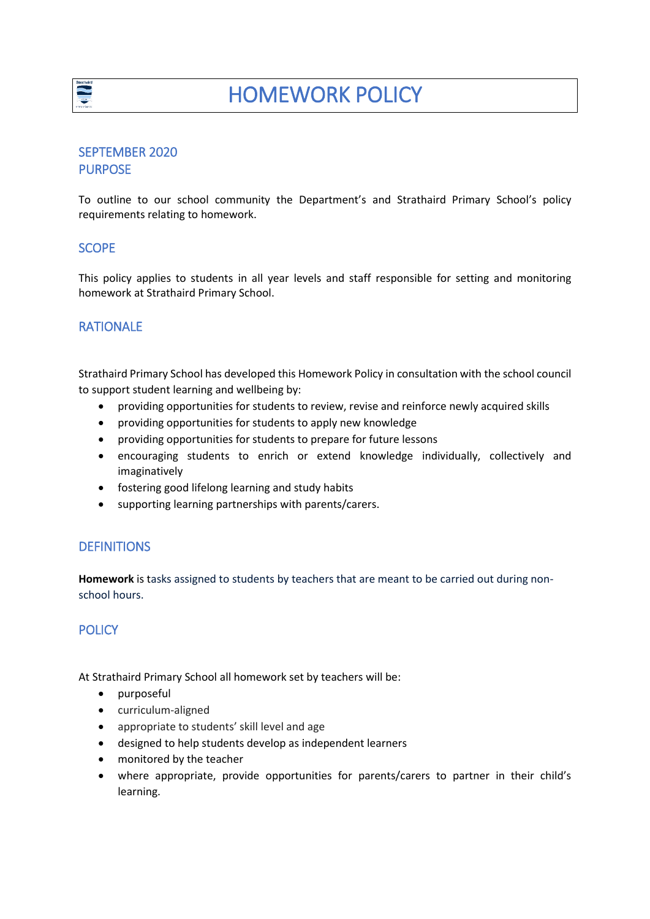

## SEPTEMBER 2020 PURPOSE

To outline to our school community the Department's and Strathaird Primary School's policy requirements relating to homework.

## **SCOPE**

This policy applies to students in all year levels and staff responsible for setting and monitoring homework at Strathaird Primary School.

## RATIONALE

Strathaird Primary School has developed this Homework Policy in consultation with the school council to support student learning and wellbeing by:

- providing opportunities for students to review, revise and reinforce newly acquired skills
- providing opportunities for students to apply new knowledge
- providing opportunities for students to prepare for future lessons
- encouraging students to enrich or extend knowledge individually, collectively and imaginatively
- fostering good lifelong learning and study habits
- supporting learning partnerships with parents/carers.

### **DEFINITIONS**

**Homework** is tasks assigned to students by teachers that are meant to be carried out during nonschool hours.

## **POLICY**

At Strathaird Primary School all homework set by teachers will be:

- purposeful
- curriculum-aligned
- appropriate to students' skill level and age
- designed to help students develop as independent learners
- monitored by the teacher
- where appropriate, provide opportunities for parents/carers to partner in their child's learning.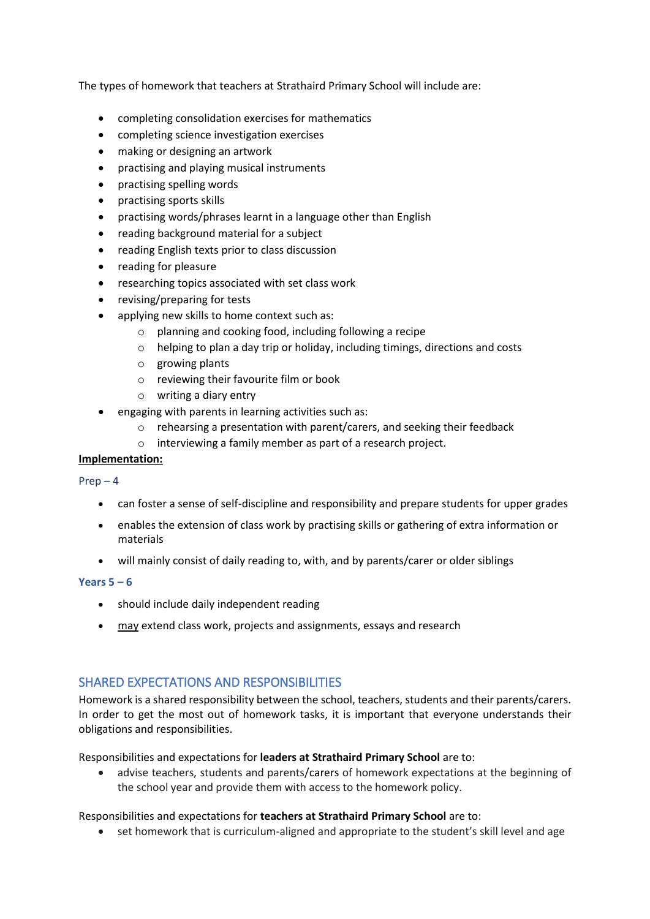The types of homework that teachers at Strathaird Primary School will include are:

- completing consolidation exercises for mathematics
- completing science investigation exercises
- making or designing an artwork
- practising and playing musical instruments
- practising spelling words
- practising sports skills
- practising words/phrases learnt in a language other than English
- reading background material for a subject
- reading English texts prior to class discussion
- reading for pleasure
- researching topics associated with set class work
- revising/preparing for tests
- applying new skills to home context such as:
	- o planning and cooking food, including following a recipe
	- o helping to plan a day trip or holiday, including timings, directions and costs
	- o growing plants
	- o reviewing their favourite film or book
	- o writing a diary entry
- engaging with parents in learning activities such as:
	- o rehearsing a presentation with parent/carers, and seeking their feedback
	- o interviewing a family member as part of a research project.

#### **Implementation:**

 $Prep-4$ 

- can foster a sense of self-discipline and responsibility and prepare students for upper grades
- enables the extension of class work by practising skills or gathering of extra information or materials
- will mainly consist of daily reading to, with, and by parents/carer or older siblings

#### **Years 5 – 6**

- should include daily independent reading
- may extend class work, projects and assignments, essays and research

## SHARED EXPECTATIONS AND RESPONSIBILITIES

Homework is a shared responsibility between the school, teachers, students and their parents/carers. In order to get the most out of homework tasks, it is important that everyone understands their obligations and responsibilities.

#### Responsibilities and expectations for **leaders at Strathaird Primary School** are to:

 advise teachers, students and parents/carers of homework expectations at the beginning of the school year and provide them with access to the homework policy.

#### Responsibilities and expectations for **teachers at Strathaird Primary School** are to:

set homework that is curriculum-aligned and appropriate to the student's skill level and age